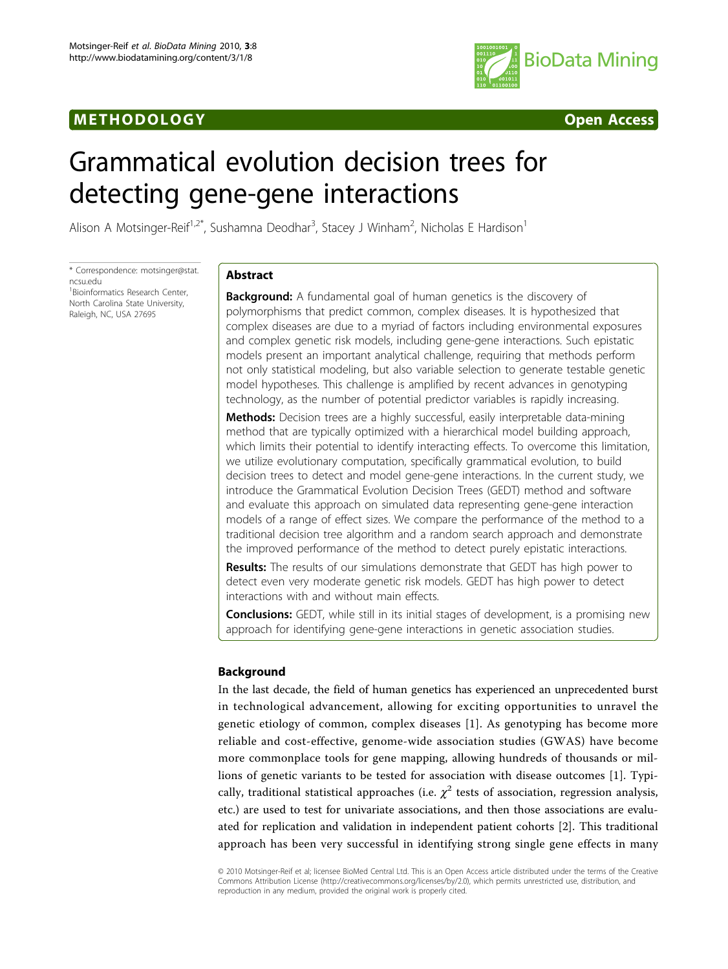## **METHODOLOGY Open Access**



# Grammatical evolution decision trees for detecting gene-gene interactions

Alison A Motsinger-Reif<sup>1,2\*</sup>, Sushamna Deodhar<sup>3</sup>, Stacey J Winham<sup>2</sup>, Nicholas E Hardison<sup>1</sup>

\* Correspondence: [motsinger@stat.](mailto:motsinger@stat.ncsu.edu) [ncsu.edu](mailto:motsinger@stat.ncsu.edu)

1 Bioinformatics Research Center, North Carolina State University, Raleigh, NC, USA 27695

## Abstract

**Background:** A fundamental goal of human genetics is the discovery of polymorphisms that predict common, complex diseases. It is hypothesized that complex diseases are due to a myriad of factors including environmental exposures and complex genetic risk models, including gene-gene interactions. Such epistatic models present an important analytical challenge, requiring that methods perform not only statistical modeling, but also variable selection to generate testable genetic model hypotheses. This challenge is amplified by recent advances in genotyping technology, as the number of potential predictor variables is rapidly increasing.

Methods: Decision trees are a highly successful, easily interpretable data-mining method that are typically optimized with a hierarchical model building approach, which limits their potential to identify interacting effects. To overcome this limitation, we utilize evolutionary computation, specifically grammatical evolution, to build decision trees to detect and model gene-gene interactions. In the current study, we introduce the Grammatical Evolution Decision Trees (GEDT) method and software and evaluate this approach on simulated data representing gene-gene interaction models of a range of effect sizes. We compare the performance of the method to a traditional decision tree algorithm and a random search approach and demonstrate the improved performance of the method to detect purely epistatic interactions.

**Results:** The results of our simulations demonstrate that GEDT has high power to detect even very moderate genetic risk models. GEDT has high power to detect interactions with and without main effects.

**Conclusions:** GEDT, while still in its initial stages of development, is a promising new approach for identifying gene-gene interactions in genetic association studies.

## Background

In the last decade, the field of human genetics has experienced an unprecedented burst in technological advancement, allowing for exciting opportunities to unravel the genetic etiology of common, complex diseases [[1](#page-13-0)]. As genotyping has become more reliable and cost-effective, genome-wide association studies (GWAS) have become more commonplace tools for gene mapping, allowing hundreds of thousands or millions of genetic variants to be tested for association with disease outcomes [[1\]](#page-13-0). Typically, traditional statistical approaches (i.e.  $\chi^2$  tests of association, regression analysis, etc.) are used to test for univariate associations, and then those associations are evaluated for replication and validation in independent patient cohorts [\[2](#page-13-0)]. This traditional approach has been very successful in identifying strong single gene effects in many

© 2010 Motsinger-Reif et al; licensee BioMed Central Ltd. This is an Open Access article distributed under the terms of the Creative Commons Attribution License [\(http://creativecommons.org/licenses/by/2.0](http://creativecommons.org/licenses/by/2.0)), which permits unrestricted use, distribution, and reproduction in any medium, provided the original work is properly cited.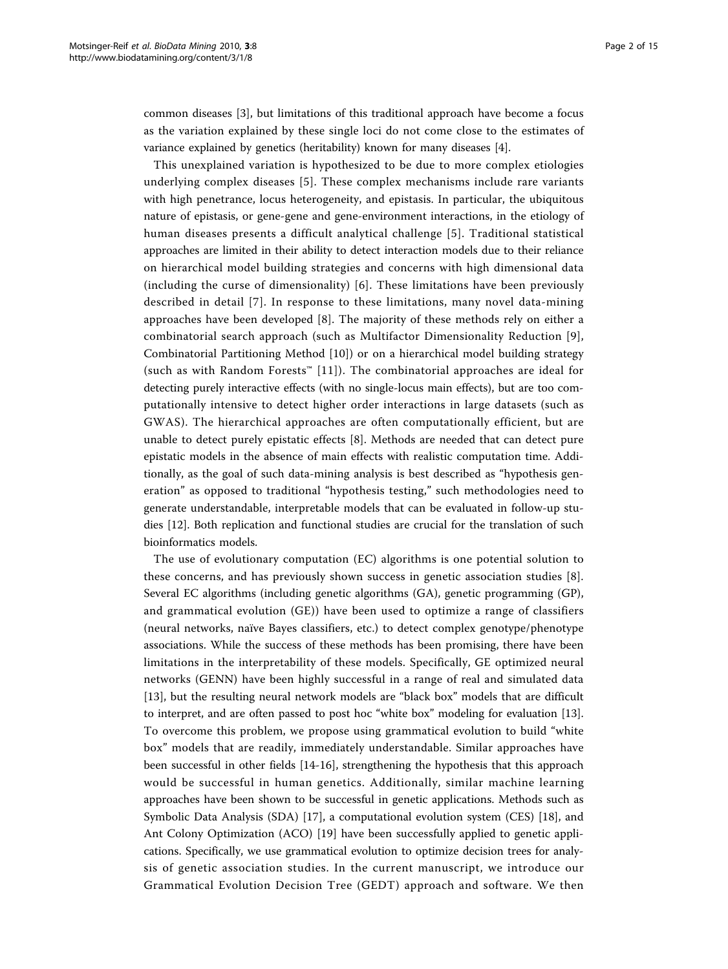common diseases [[3](#page-13-0)], but limitations of this traditional approach have become a focus as the variation explained by these single loci do not come close to the estimates of variance explained by genetics (heritability) known for many diseases [[4\]](#page-13-0).

This unexplained variation is hypothesized to be due to more complex etiologies underlying complex diseases [\[5\]](#page-13-0). These complex mechanisms include rare variants with high penetrance, locus heterogeneity, and epistasis. In particular, the ubiquitous nature of epistasis, or gene-gene and gene-environment interactions, in the etiology of human diseases presents a difficult analytical challenge [[5](#page-13-0)]. Traditional statistical approaches are limited in their ability to detect interaction models due to their reliance on hierarchical model building strategies and concerns with high dimensional data (including the curse of dimensionality) [[6\]](#page-13-0). These limitations have been previously described in detail [[7](#page-13-0)]. In response to these limitations, many novel data-mining approaches have been developed [[8](#page-13-0)]. The majority of these methods rely on either a combinatorial search approach (such as Multifactor Dimensionality Reduction [[9](#page-13-0)], Combinatorial Partitioning Method [[10\]](#page-13-0)) or on a hierarchical model building strategy (such as with Random Forests<sup> $m$ </sup> [[11](#page-13-0)]). The combinatorial approaches are ideal for detecting purely interactive effects (with no single-locus main effects), but are too computationally intensive to detect higher order interactions in large datasets (such as GWAS). The hierarchical approaches are often computationally efficient, but are unable to detect purely epistatic effects [[8\]](#page-13-0). Methods are needed that can detect pure epistatic models in the absence of main effects with realistic computation time. Additionally, as the goal of such data-mining analysis is best described as "hypothesis generation" as opposed to traditional "hypothesis testing," such methodologies need to generate understandable, interpretable models that can be evaluated in follow-up studies [\[12\]](#page-13-0). Both replication and functional studies are crucial for the translation of such bioinformatics models.

The use of evolutionary computation (EC) algorithms is one potential solution to these concerns, and has previously shown success in genetic association studies [[8](#page-13-0)]. Several EC algorithms (including genetic algorithms (GA), genetic programming (GP), and grammatical evolution (GE)) have been used to optimize a range of classifiers (neural networks, naïve Bayes classifiers, etc.) to detect complex genotype/phenotype associations. While the success of these methods has been promising, there have been limitations in the interpretability of these models. Specifically, GE optimized neural networks (GENN) have been highly successful in a range of real and simulated data [[13\]](#page-13-0), but the resulting neural network models are "black box" models that are difficult to interpret, and are often passed to post hoc "white box" modeling for evaluation [[13](#page-13-0)]. To overcome this problem, we propose using grammatical evolution to build "white box" models that are readily, immediately understandable. Similar approaches have been successful in other fields [\[14](#page-13-0)-[16\]](#page-13-0), strengthening the hypothesis that this approach would be successful in human genetics. Additionally, similar machine learning approaches have been shown to be successful in genetic applications. Methods such as Symbolic Data Analysis (SDA) [[17\]](#page-13-0), a computational evolution system (CES) [[18\]](#page-14-0), and Ant Colony Optimization (ACO) [[19](#page-14-0)] have been successfully applied to genetic applications. Specifically, we use grammatical evolution to optimize decision trees for analysis of genetic association studies. In the current manuscript, we introduce our Grammatical Evolution Decision Tree (GEDT) approach and software. We then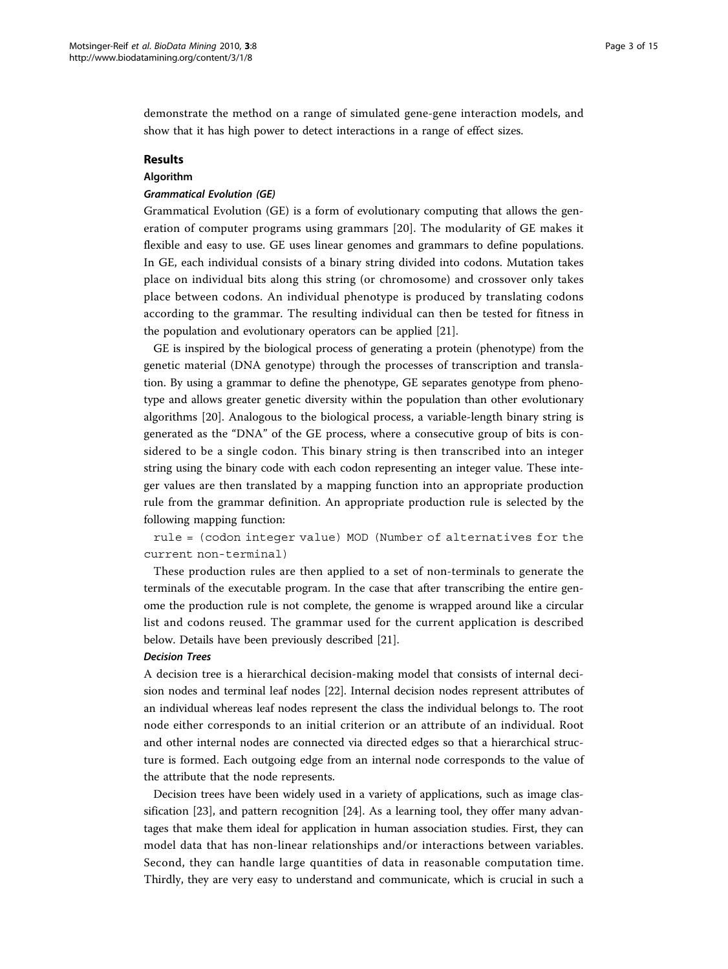demonstrate the method on a range of simulated gene-gene interaction models, and show that it has high power to detect interactions in a range of effect sizes.

## Results

#### Algorithm

#### Grammatical Evolution (GE)

Grammatical Evolution (GE) is a form of evolutionary computing that allows the generation of computer programs using grammars [[20\]](#page-14-0). The modularity of GE makes it flexible and easy to use. GE uses linear genomes and grammars to define populations. In GE, each individual consists of a binary string divided into codons. Mutation takes place on individual bits along this string (or chromosome) and crossover only takes place between codons. An individual phenotype is produced by translating codons according to the grammar. The resulting individual can then be tested for fitness in the population and evolutionary operators can be applied [\[21\]](#page-14-0).

GE is inspired by the biological process of generating a protein (phenotype) from the genetic material (DNA genotype) through the processes of transcription and translation. By using a grammar to define the phenotype, GE separates genotype from phenotype and allows greater genetic diversity within the population than other evolutionary algorithms [\[20](#page-14-0)]. Analogous to the biological process, a variable-length binary string is generated as the "DNA" of the GE process, where a consecutive group of bits is considered to be a single codon. This binary string is then transcribed into an integer string using the binary code with each codon representing an integer value. These integer values are then translated by a mapping function into an appropriate production rule from the grammar definition. An appropriate production rule is selected by the following mapping function:

rule = (codon integer value) MOD (Number of alternatives for the current non-terminal)

These production rules are then applied to a set of non-terminals to generate the terminals of the executable program. In the case that after transcribing the entire genome the production rule is not complete, the genome is wrapped around like a circular list and codons reused. The grammar used for the current application is described below. Details have been previously described [[21\]](#page-14-0).

## Decision Trees

A decision tree is a hierarchical decision-making model that consists of internal decision nodes and terminal leaf nodes [[22](#page-14-0)]. Internal decision nodes represent attributes of an individual whereas leaf nodes represent the class the individual belongs to. The root node either corresponds to an initial criterion or an attribute of an individual. Root and other internal nodes are connected via directed edges so that a hierarchical structure is formed. Each outgoing edge from an internal node corresponds to the value of the attribute that the node represents.

Decision trees have been widely used in a variety of applications, such as image classification [[23\]](#page-14-0), and pattern recognition [[24](#page-14-0)]. As a learning tool, they offer many advantages that make them ideal for application in human association studies. First, they can model data that has non-linear relationships and/or interactions between variables. Second, they can handle large quantities of data in reasonable computation time. Thirdly, they are very easy to understand and communicate, which is crucial in such a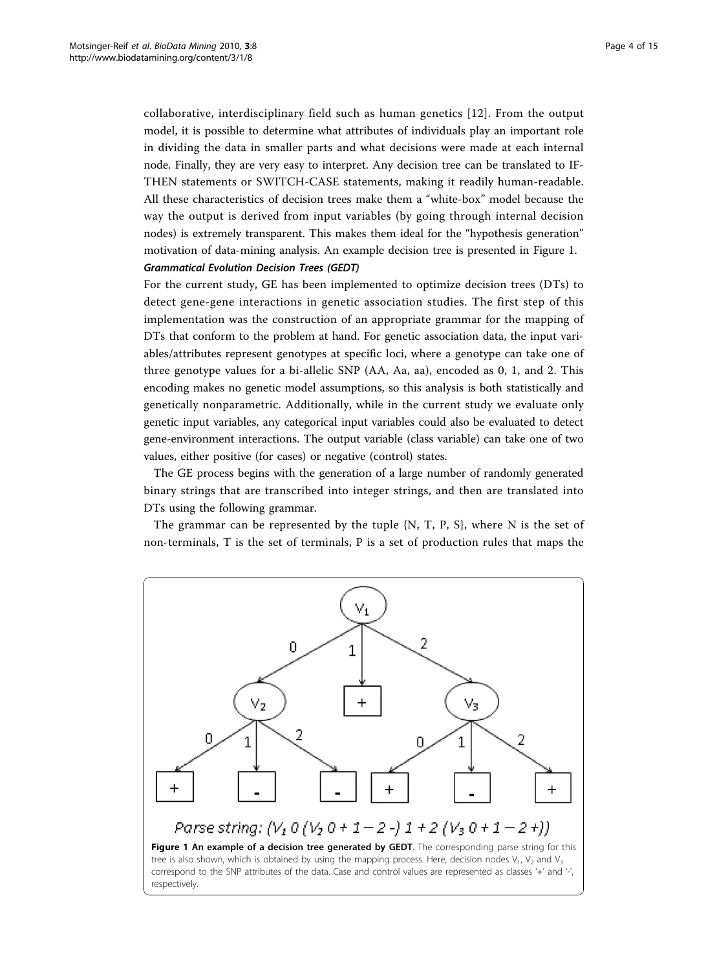collaborative, interdisciplinary field such as human genetics [[12\]](#page-13-0). From the output model, it is possible to determine what attributes of individuals play an important role in dividing the data in smaller parts and what decisions were made at each internal node. Finally, they are very easy to interpret. Any decision tree can be translated to IF-THEN statements or SWITCH-CASE statements, making it readily human-readable. All these characteristics of decision trees make them a "white-box" model because the way the output is derived from input variables (by going through internal decision nodes) is extremely transparent. This makes them ideal for the "hypothesis generation" motivation of data-mining analysis. An example decision tree is presented in Figure 1. Grammatical Evolution Decision Trees (GEDT)

For the current study, GE has been implemented to optimize decision trees (DTs) to detect gene-gene interactions in genetic association studies. The first step of this implementation was the construction of an appropriate grammar for the mapping of DTs that conform to the problem at hand. For genetic association data, the input variables/attributes represent genotypes at specific loci, where a genotype can take one of three genotype values for a bi-allelic SNP (AA, Aa, aa), encoded as 0, 1, and 2. This encoding makes no genetic model assumptions, so this analysis is both statistically and genetically nonparametric. Additionally, while in the current study we evaluate only genetic input variables, any categorical input variables could also be evaluated to detect gene-environment interactions. The output variable (class variable) can take one of two values, either positive (for cases) or negative (control) states.

The GE process begins with the generation of a large number of randomly generated binary strings that are transcribed into integer strings, and then are translated into DTs using the following grammar.

The grammar can be represented by the tuple  $\{N, T, P, S\}$ , where N is the set of non-terminals, T is the set of terminals, P is a set of production rules that maps the

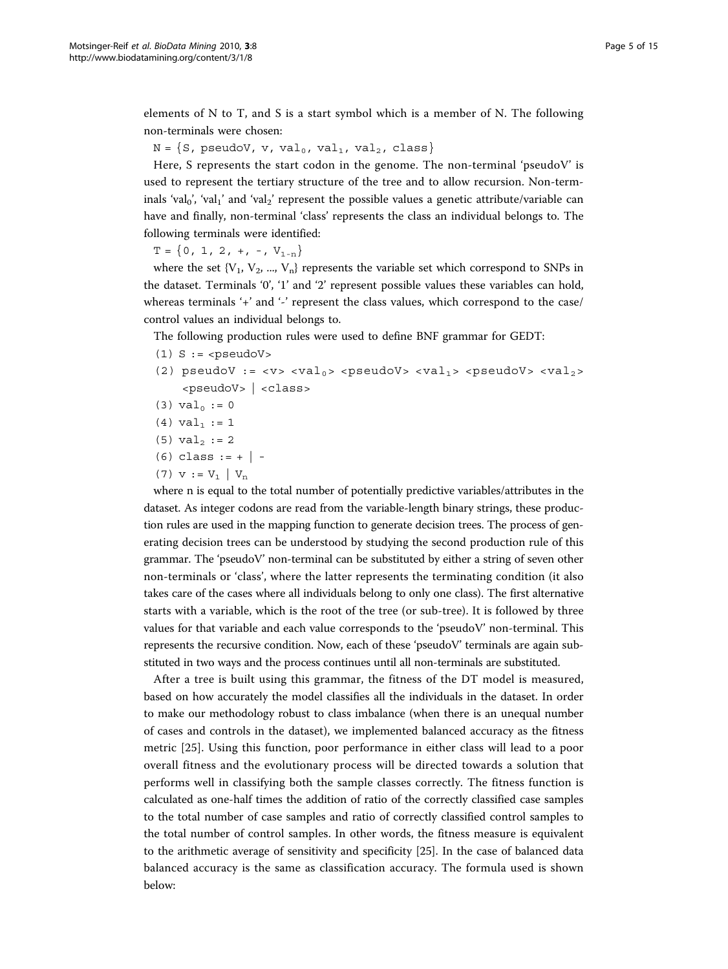$N = \{S, pseudov, v, val<sub>0</sub>, val<sub>1</sub>, val<sub>2</sub>, class\}$ 

Here, S represents the start codon in the genome. The non-terminal 'pseudoV' is used to represent the tertiary structure of the tree and to allow recursion. Non-terminals 'val<sub>0</sub>', 'val<sub>1</sub>' and 'val<sub>2</sub>' represent the possible values a genetic attribute/variable can have and finally, non-terminal 'class' represents the class an individual belongs to. The following terminals were identified:

 $T = \{0, 1, 2, +, -, V_{1-n}\}$ 

where the set  $\{V_1, V_2, ..., V_n\}$  represents the variable set which correspond to SNPs in the dataset. Terminals '0', '1' and '2' represent possible values these variables can hold, whereas terminals '+' and '-' represent the class values, which correspond to the case/ control values an individual belongs to.

The following production rules were used to define BNF grammar for GEDT:

- $(1)$  S := <pseudoV>
- (2) pseudoV := < $v$ > < $val_0$ > <pseudoV> < $val_1$ > <pseudoV> < $val_2$ >>> <pseudoV> | <class>
- (3)  $\text{val}_{0} := 0$
- $(4)$  val<sub>1</sub> := 1
- (5)  $val_2 := 2$
- (6) class  $:= + | -$
- (7)  $v := V_1 | V_n$

where n is equal to the total number of potentially predictive variables/attributes in the dataset. As integer codons are read from the variable-length binary strings, these production rules are used in the mapping function to generate decision trees. The process of generating decision trees can be understood by studying the second production rule of this grammar. The 'pseudoV' non-terminal can be substituted by either a string of seven other non-terminals or 'class', where the latter represents the terminating condition (it also takes care of the cases where all individuals belong to only one class). The first alternative starts with a variable, which is the root of the tree (or sub-tree). It is followed by three values for that variable and each value corresponds to the 'pseudoV' non-terminal. This represents the recursive condition. Now, each of these 'pseudoV' terminals are again substituted in two ways and the process continues until all non-terminals are substituted.

After a tree is built using this grammar, the fitness of the DT model is measured, based on how accurately the model classifies all the individuals in the dataset. In order to make our methodology robust to class imbalance (when there is an unequal number of cases and controls in the dataset), we implemented balanced accuracy as the fitness metric [\[25](#page-14-0)]. Using this function, poor performance in either class will lead to a poor overall fitness and the evolutionary process will be directed towards a solution that performs well in classifying both the sample classes correctly. The fitness function is calculated as one-half times the addition of ratio of the correctly classified case samples to the total number of case samples and ratio of correctly classified control samples to the total number of control samples. In other words, the fitness measure is equivalent to the arithmetic average of sensitivity and specificity [[25](#page-14-0)]. In the case of balanced data balanced accuracy is the same as classification accuracy. The formula used is shown below: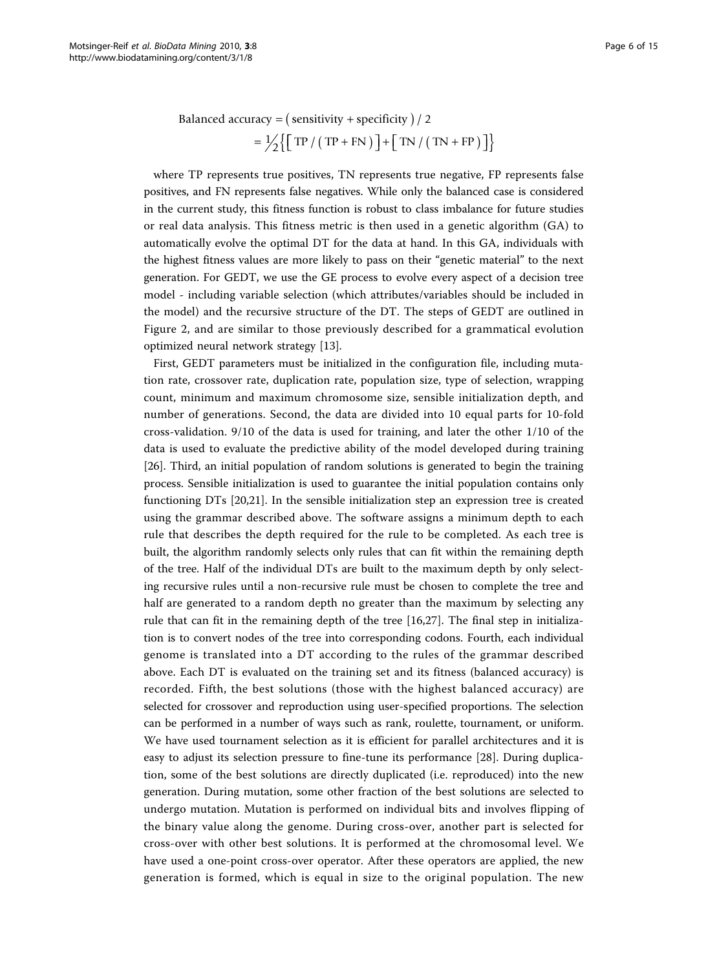Balanced accuracy = ( sensitivity + specificity) / 2  
= 
$$
\frac{1}{2} \{ [\text{TP} / (\text{TP} + \text{FN})] + [\text{TN} / (\text{TN} + \text{FP})] \}
$$

where TP represents true positives, TN represents true negative, FP represents false positives, and FN represents false negatives. While only the balanced case is considered in the current study, this fitness function is robust to class imbalance for future studies or real data analysis. This fitness metric is then used in a genetic algorithm (GA) to automatically evolve the optimal DT for the data at hand. In this GA, individuals with the highest fitness values are more likely to pass on their "genetic material" to the next generation. For GEDT, we use the GE process to evolve every aspect of a decision tree model - including variable selection (which attributes/variables should be included in the model) and the recursive structure of the DT. The steps of GEDT are outlined in Figure [2](#page-6-0), and are similar to those previously described for a grammatical evolution optimized neural network strategy [[13\]](#page-13-0).

First, GEDT parameters must be initialized in the configuration file, including mutation rate, crossover rate, duplication rate, population size, type of selection, wrapping count, minimum and maximum chromosome size, sensible initialization depth, and number of generations. Second, the data are divided into 10 equal parts for 10-fold cross-validation. 9/10 of the data is used for training, and later the other 1/10 of the data is used to evaluate the predictive ability of the model developed during training [[26\]](#page-14-0). Third, an initial population of random solutions is generated to begin the training process. Sensible initialization is used to guarantee the initial population contains only functioning DTs [[20,21\]](#page-14-0). In the sensible initialization step an expression tree is created using the grammar described above. The software assigns a minimum depth to each rule that describes the depth required for the rule to be completed. As each tree is built, the algorithm randomly selects only rules that can fit within the remaining depth of the tree. Half of the individual DTs are built to the maximum depth by only selecting recursive rules until a non-recursive rule must be chosen to complete the tree and half are generated to a random depth no greater than the maximum by selecting any rule that can fit in the remaining depth of the tree [[16,](#page-13-0)[27\]](#page-14-0). The final step in initialization is to convert nodes of the tree into corresponding codons. Fourth, each individual genome is translated into a DT according to the rules of the grammar described above. Each DT is evaluated on the training set and its fitness (balanced accuracy) is recorded. Fifth, the best solutions (those with the highest balanced accuracy) are selected for crossover and reproduction using user-specified proportions. The selection can be performed in a number of ways such as rank, roulette, tournament, or uniform. We have used tournament selection as it is efficient for parallel architectures and it is easy to adjust its selection pressure to fine-tune its performance [[28\]](#page-14-0). During duplication, some of the best solutions are directly duplicated (i.e. reproduced) into the new generation. During mutation, some other fraction of the best solutions are selected to undergo mutation. Mutation is performed on individual bits and involves flipping of the binary value along the genome. During cross-over, another part is selected for cross-over with other best solutions. It is performed at the chromosomal level. We have used a one-point cross-over operator. After these operators are applied, the new generation is formed, which is equal in size to the original population. The new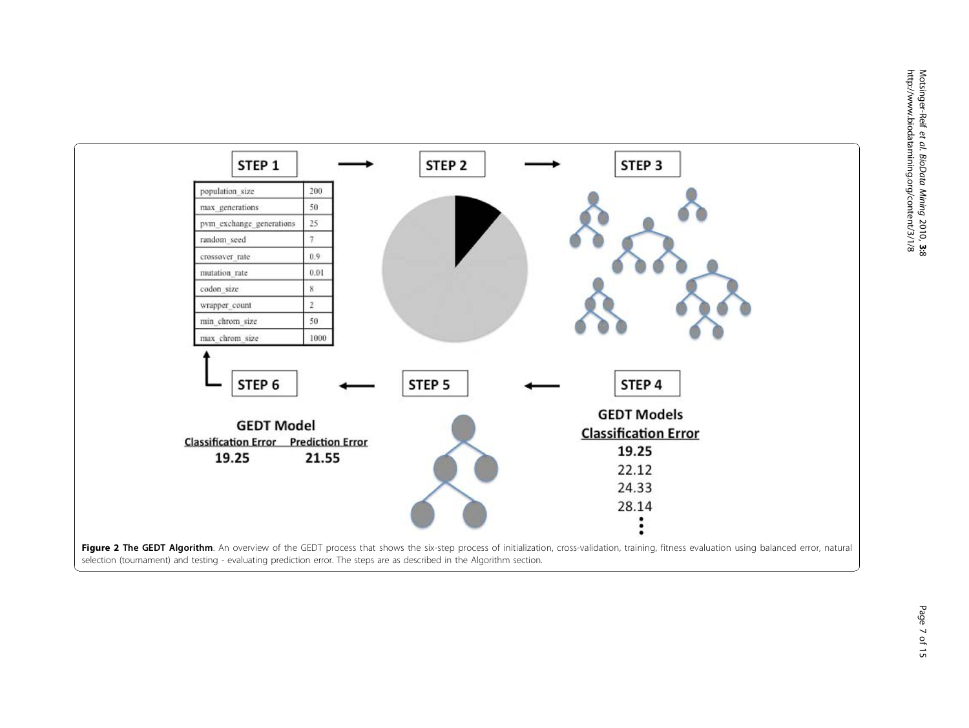<span id="page-6-0"></span>

selection (tournament) and testing - evaluating prediction error. The steps are as described in the Algorithm section.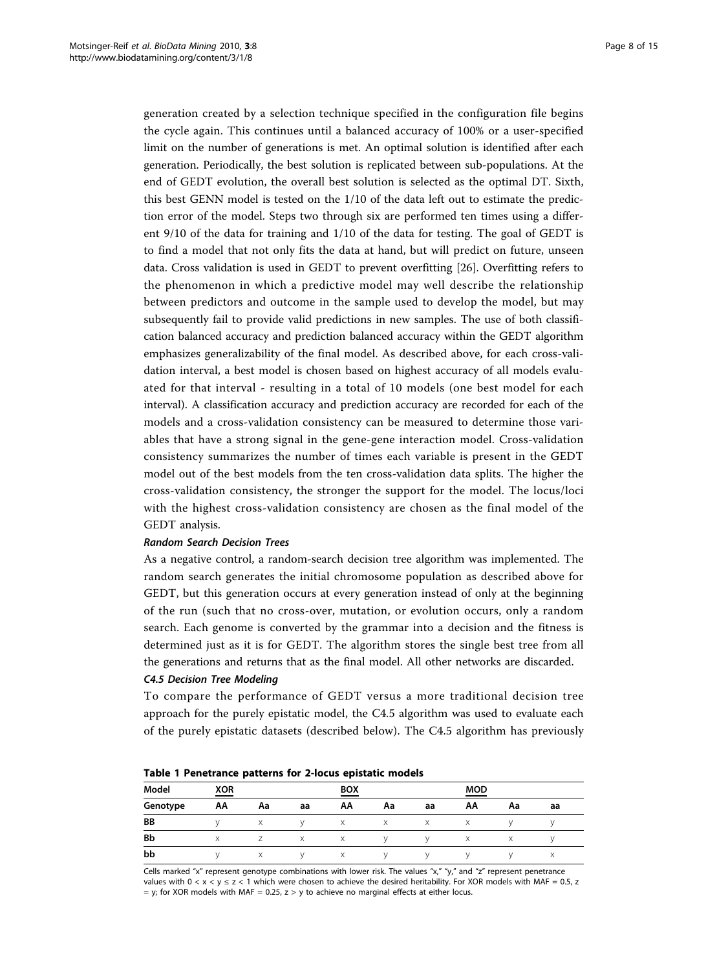<span id="page-7-0"></span>generation created by a selection technique specified in the configuration file begins the cycle again. This continues until a balanced accuracy of 100% or a user-specified limit on the number of generations is met. An optimal solution is identified after each generation. Periodically, the best solution is replicated between sub-populations. At the end of GEDT evolution, the overall best solution is selected as the optimal DT. Sixth, this best GENN model is tested on the 1/10 of the data left out to estimate the prediction error of the model. Steps two through six are performed ten times using a different 9/10 of the data for training and 1/10 of the data for testing. The goal of GEDT is to find a model that not only fits the data at hand, but will predict on future, unseen data. Cross validation is used in GEDT to prevent overfitting [[26\]](#page-14-0). Overfitting refers to the phenomenon in which a predictive model may well describe the relationship between predictors and outcome in the sample used to develop the model, but may subsequently fail to provide valid predictions in new samples. The use of both classification balanced accuracy and prediction balanced accuracy within the GEDT algorithm emphasizes generalizability of the final model. As described above, for each cross-validation interval, a best model is chosen based on highest accuracy of all models evaluated for that interval - resulting in a total of 10 models (one best model for each interval). A classification accuracy and prediction accuracy are recorded for each of the models and a cross-validation consistency can be measured to determine those variables that have a strong signal in the gene-gene interaction model. Cross-validation consistency summarizes the number of times each variable is present in the GEDT model out of the best models from the ten cross-validation data splits. The higher the cross-validation consistency, the stronger the support for the model. The locus/loci with the highest cross-validation consistency are chosen as the final model of the GEDT analysis.

## Random Search Decision Trees

As a negative control, a random-search decision tree algorithm was implemented. The random search generates the initial chromosome population as described above for GEDT, but this generation occurs at every generation instead of only at the beginning of the run (such that no cross-over, mutation, or evolution occurs, only a random search. Each genome is converted by the grammar into a decision and the fitness is determined just as it is for GEDT. The algorithm stores the single best tree from all the generations and returns that as the final model. All other networks are discarded. C4.5 Decision Tree Modeling

To compare the performance of GEDT versus a more traditional decision tree approach for the purely epistatic model, the C4.5 algorithm was used to evaluate each of the purely epistatic datasets (described below). The C4.5 algorithm has previously

|  |  |  |  | Table 1 Penetrance patterns for 2-locus epistatic models |
|--|--|--|--|----------------------------------------------------------|
|--|--|--|--|----------------------------------------------------------|

| Model    | <b>XOR</b> |    |          | <b>BOX</b> |    |    | <b>MOD</b> |    |    |
|----------|------------|----|----------|------------|----|----|------------|----|----|
| Genotype | AΑ         | Aa | aa       | AΑ         | Aa | aa | АΑ         | Aa | aa |
| BB       |            | X  |          | Х          | X  | Х  | X          |    |    |
| Bb       | X          |    | $\times$ | Х          |    |    | Х          | Х  |    |
| bb       |            | Х  |          | ⋏          |    |    |            |    | v  |

Cells marked "x" represent genotype combinations with lower risk. The values "x," "y," and "z" represent penetrance values with  $0 < x < y \le z < 1$  which were chosen to achieve the desired heritability. For XOR models with MAF = 0.5, z = y; for XOR models with MAF = 0.25,  $z > y$  to achieve no marginal effects at either locus.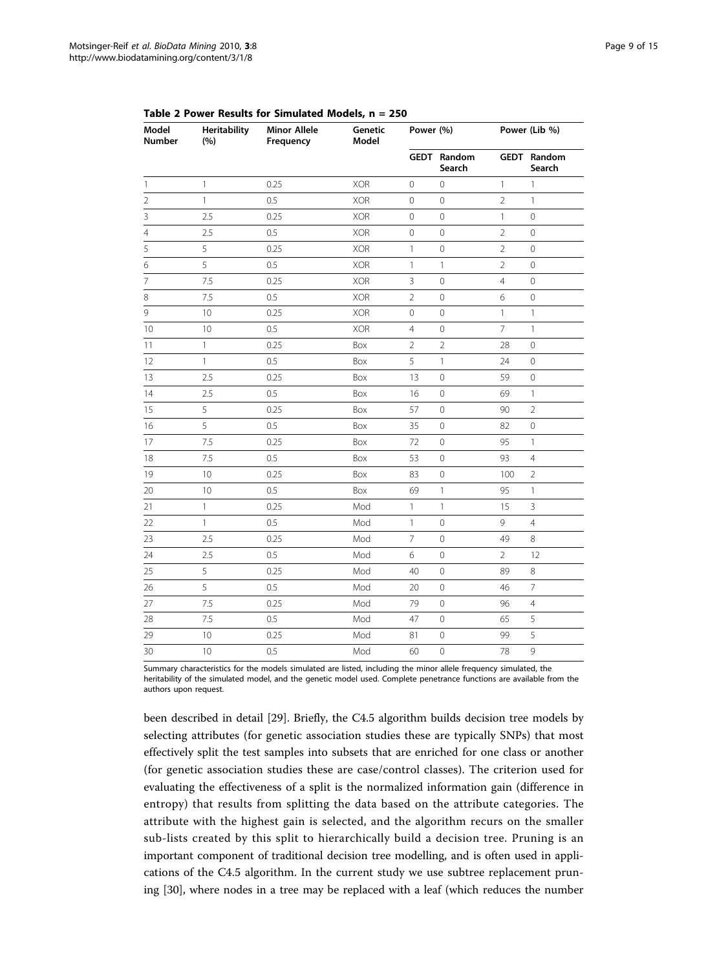| Model<br><b>Number</b> | Heritability<br>(%) | <b>Minor Allele</b><br>Frequency | Genetic<br>Model |                | Power (%)                    |                | Power (Lib %)                |  |
|------------------------|---------------------|----------------------------------|------------------|----------------|------------------------------|----------------|------------------------------|--|
|                        |                     |                                  |                  |                | <b>GEDT</b> Random<br>Search |                | <b>GEDT</b> Random<br>Search |  |
| $\mathbf{1}$           | $\mathbf{1}$        | 0.25                             | <b>XOR</b>       | $\mathbf 0$    | $\mathbf 0$                  | $\mathbf{1}$   | 1                            |  |
| $\sqrt{2}$             | $\mathbf{1}$        | 0.5                              | <b>XOR</b>       | $\mathbf 0$    | $\overline{0}$               | $\overline{2}$ | $\mathbf{1}$                 |  |
| 3                      | 2.5                 | 0.25                             | <b>XOR</b>       | $\Omega$       | 0                            | $\mathbf{1}$   | $\mathbf 0$                  |  |
| $\overline{4}$         | 2.5                 | 0.5                              | <b>XOR</b>       | 0              | $\circ$                      | $\overline{2}$ | 0                            |  |
| 5                      | 5                   | 0.25                             | <b>XOR</b>       | $\mathbf{1}$   | $\mathbf 0$                  | $\overline{2}$ | $\overline{0}$               |  |
| 6                      | 5                   | 0.5                              | <b>XOR</b>       | $\mathbf{1}$   | $\mathbf{1}$                 | $\overline{2}$ | 0                            |  |
| $\overline{7}$         | 7.5                 | 0.25                             | <b>XOR</b>       | 3              | $\circ$                      | 4              | $\overline{0}$               |  |
| 8                      | 7.5                 | 0.5                              | <b>XOR</b>       | $\overline{2}$ | $\overline{0}$               | 6              | $\mathbf 0$                  |  |
| 9                      | 10                  | 0.25                             | <b>XOR</b>       | $\Omega$       | $\mathbf 0$                  | $\mathbf{1}$   | $\mathbf{1}$                 |  |
| 10                     | 10                  | 0.5                              | <b>XOR</b>       | $\overline{4}$ | $\mathbf 0$                  | $\overline{7}$ | $\mathbf{1}$                 |  |
| 11                     | $\mathbf{1}$        | 0.25                             | Box              | $\overline{2}$ | $\overline{2}$               | 28             | $\mathbf 0$                  |  |
| 12                     | $\mathbf{1}$        | 0.5                              | <b>Box</b>       | 5              | 1                            | 24             | $\Omega$                     |  |
| 13                     | 2.5                 | 0.25                             | Box              | 13             | $\mathbf 0$                  | 59             | $\mathbf 0$                  |  |
| 14                     | 2.5                 | 0.5                              | Box              | 16             | $\mathbf 0$                  | 69             | $\mathbf{1}$                 |  |
| 15                     | 5                   | 0.25                             | <b>Box</b>       | 57             | 0                            | 90             | $\overline{2}$               |  |
| 16                     | 5                   | 0.5                              | Box              | 35             | $\mathbf 0$                  | 82             | $\mathbf 0$                  |  |
| 17                     | 7.5                 | 0.25                             | Box              | 72             | $\mathbf 0$                  | 95             | $\mathbf{1}$                 |  |
| 18                     | 7.5                 | 0.5                              | Box              | 53             | 0                            | 93             | 4                            |  |
| 19                     | 10                  | 0.25                             | Box              | 83             | 0                            | 100            | $\overline{2}$               |  |
| 20                     | 10                  | 0.5                              | Box              | 69             | $\mathbf{1}$                 | 95             | $\mathbf{1}$                 |  |
| 21                     | $\mathbf{1}$        | 0.25                             | Mod              | $\mathbf{1}$   | $\mathbf{1}$                 | 15             | $\overline{3}$               |  |
| 22                     | $\mathbf{1}$        | 0.5                              | Mod              | $\mathbf{1}$   | $\mathbf 0$                  | 9              | $\overline{4}$               |  |
| 23                     | 2.5                 | 0.25                             | Mod              | 7              | $\mathbf 0$                  | 49             | 8                            |  |
| 24                     | 2.5                 | 0.5                              | Mod              | 6              | $\mathbf 0$                  | $\overline{2}$ | 12                           |  |
| 25                     | 5                   | 0.25                             | Mod              | 40             | $\mathbf 0$                  | 89             | 8                            |  |
| 26                     | 5                   | 0.5                              | Mod              | 20             | 0                            | 46             | 7                            |  |
| 27                     | 7.5                 | 0.25                             | Mod              | 79             | $\mathbf 0$                  | 96             | $\overline{4}$               |  |
| 28                     | 7.5                 | 0.5                              | Mod              | 47             | $\mathbf 0$                  | 65             | 5                            |  |
| 29                     | 10                  | 0.25                             | Mod              | 81             | $\mathbf 0$                  | 99             | 5                            |  |
| 30                     | 10                  | 0.5                              | Mod              | 60             | $\mathbf 0$                  | 78             | 9                            |  |

<span id="page-8-0"></span>Table 2 Power Results for Simulated Models, n = 250

Summary characteristics for the models simulated are listed, including the minor allele frequency simulated, the heritability of the simulated model, and the genetic model used. Complete penetrance functions are available from the authors upon request.

been described in detail [[29\]](#page-14-0). Briefly, the C4.5 algorithm builds decision tree models by selecting attributes (for genetic association studies these are typically SNPs) that most effectively split the test samples into subsets that are enriched for one class or another (for genetic association studies these are case/control classes). The criterion used for evaluating the effectiveness of a split is the normalized information gain (difference in entropy) that results from splitting the data based on the attribute categories. The attribute with the highest gain is selected, and the algorithm recurs on the smaller sub-lists created by this split to hierarchically build a decision tree. Pruning is an important component of traditional decision tree modelling, and is often used in applications of the C4.5 algorithm. In the current study we use subtree replacement pruning [[30](#page-14-0)], where nodes in a tree may be replaced with a leaf (which reduces the number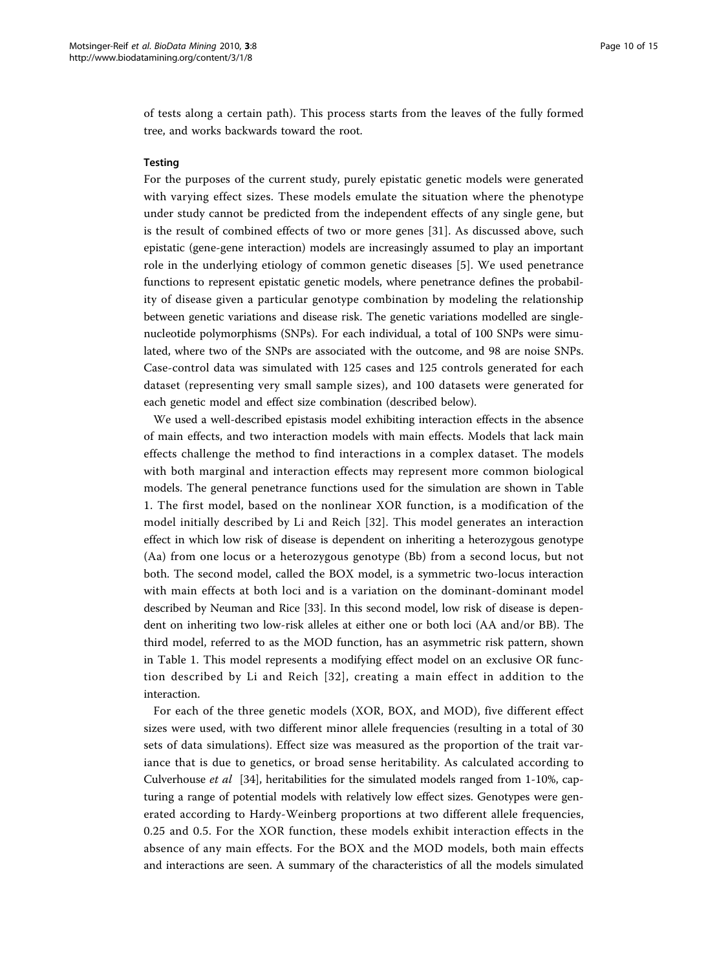of tests along a certain path). This process starts from the leaves of the fully formed tree, and works backwards toward the root.

## **Testing**

For the purposes of the current study, purely epistatic genetic models were generated with varying effect sizes. These models emulate the situation where the phenotype under study cannot be predicted from the independent effects of any single gene, but is the result of combined effects of two or more genes [[31\]](#page-14-0). As discussed above, such epistatic (gene-gene interaction) models are increasingly assumed to play an important role in the underlying etiology of common genetic diseases [[5\]](#page-13-0). We used penetrance functions to represent epistatic genetic models, where penetrance defines the probability of disease given a particular genotype combination by modeling the relationship between genetic variations and disease risk. The genetic variations modelled are singlenucleotide polymorphisms (SNPs). For each individual, a total of 100 SNPs were simulated, where two of the SNPs are associated with the outcome, and 98 are noise SNPs. Case-control data was simulated with 125 cases and 125 controls generated for each dataset (representing very small sample sizes), and 100 datasets were generated for each genetic model and effect size combination (described below).

We used a well-described epistasis model exhibiting interaction effects in the absence of main effects, and two interaction models with main effects. Models that lack main effects challenge the method to find interactions in a complex dataset. The models with both marginal and interaction effects may represent more common biological models. The general penetrance functions used for the simulation are shown in Table [1.](#page-7-0) The first model, based on the nonlinear XOR function, is a modification of the model initially described by Li and Reich [[32](#page-14-0)]. This model generates an interaction effect in which low risk of disease is dependent on inheriting a heterozygous genotype (Aa) from one locus or a heterozygous genotype (Bb) from a second locus, but not both. The second model, called the BOX model, is a symmetric two-locus interaction with main effects at both loci and is a variation on the dominant-dominant model described by Neuman and Rice [[33\]](#page-14-0). In this second model, low risk of disease is dependent on inheriting two low-risk alleles at either one or both loci (AA and/or BB). The third model, referred to as the MOD function, has an asymmetric risk pattern, shown in Table [1.](#page-7-0) This model represents a modifying effect model on an exclusive OR function described by Li and Reich [[32](#page-14-0)], creating a main effect in addition to the interaction.

For each of the three genetic models (XOR, BOX, and MOD), five different effect sizes were used, with two different minor allele frequencies (resulting in a total of 30 sets of data simulations). Effect size was measured as the proportion of the trait variance that is due to genetics, or broad sense heritability. As calculated according to Culverhouse *et al* [\[34](#page-14-0)], heritabilities for the simulated models ranged from 1-10%, capturing a range of potential models with relatively low effect sizes. Genotypes were generated according to Hardy-Weinberg proportions at two different allele frequencies, 0.25 and 0.5. For the XOR function, these models exhibit interaction effects in the absence of any main effects. For the BOX and the MOD models, both main effects and interactions are seen. A summary of the characteristics of all the models simulated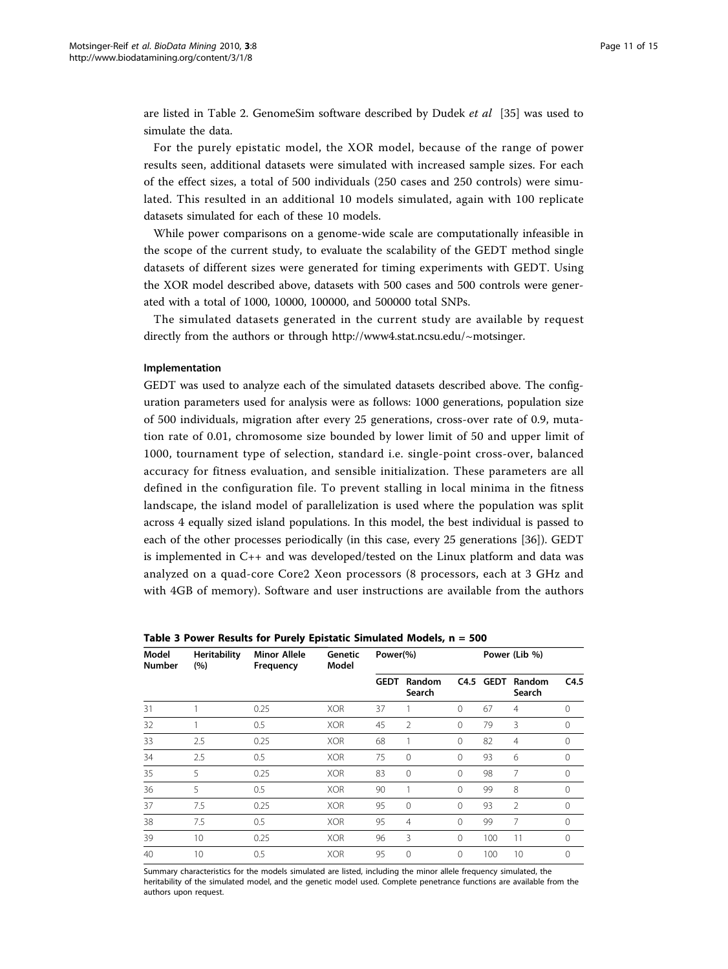<span id="page-10-0"></span>are listed in Table [2](#page-8-0). GenomeSim software described by Dudek et al [\[35](#page-14-0)] was used to simulate the data.

For the purely epistatic model, the XOR model, because of the range of power results seen, additional datasets were simulated with increased sample sizes. For each of the effect sizes, a total of 500 individuals (250 cases and 250 controls) were simulated. This resulted in an additional 10 models simulated, again with 100 replicate datasets simulated for each of these 10 models.

While power comparisons on a genome-wide scale are computationally infeasible in the scope of the current study, to evaluate the scalability of the GEDT method single datasets of different sizes were generated for timing experiments with GEDT. Using the XOR model described above, datasets with 500 cases and 500 controls were generated with a total of 1000, 10000, 100000, and 500000 total SNPs.

The simulated datasets generated in the current study are available by request directly from the authors or through [http://www4.stat.ncsu.edu/~motsinger.](http://www4.stat.ncsu.edu/~motsinger)

## Implementation

GEDT was used to analyze each of the simulated datasets described above. The configuration parameters used for analysis were as follows: 1000 generations, population size of 500 individuals, migration after every 25 generations, cross-over rate of 0.9, mutation rate of 0.01, chromosome size bounded by lower limit of 50 and upper limit of 1000, tournament type of selection, standard i.e. single-point cross-over, balanced accuracy for fitness evaluation, and sensible initialization. These parameters are all defined in the configuration file. To prevent stalling in local minima in the fitness landscape, the island model of parallelization is used where the population was split across 4 equally sized island populations. In this model, the best individual is passed to each of the other processes periodically (in this case, every 25 generations [[36](#page-14-0)]). GEDT is implemented in C++ and was developed/tested on the Linux platform and data was analyzed on a quad-core Core2 Xeon processors (8 processors, each at 3 GHz and with 4GB of memory). Software and user instructions are available from the authors

| Model<br><b>Number</b> | <b>Heritability</b><br>(%) | <b>Minor Allele</b><br>Frequency | Genetic<br>Model | Power(%)    |                  |          | Power (Lib %) |                  |              |
|------------------------|----------------------------|----------------------------------|------------------|-------------|------------------|----------|---------------|------------------|--------------|
|                        |                            |                                  |                  | <b>GEDT</b> | Random<br>Search |          | C4.5 GEDT     | Random<br>Search | C4.5         |
| 31                     |                            | 0.25                             | <b>XOR</b>       | 37          |                  | $\Omega$ | 67            | 4                | $\Omega$     |
| 32                     |                            | 0.5                              | <b>XOR</b>       | 45          | $\mathcal{P}$    | $\Omega$ | 79            | 3                | $\Omega$     |
| 33                     | 2.5                        | 0.25                             | <b>XOR</b>       | 68          |                  | 0        | 82            | $\overline{4}$   | $\mathbf{0}$ |
| 34                     | 2.5                        | 0.5                              | <b>XOR</b>       | 75          | $\Omega$         | 0        | 93            | 6                | $\Omega$     |
| 35                     | 5                          | 0.25                             | <b>XOR</b>       | 83          | $\Omega$         | $\Omega$ | 98            | 7                | $\Omega$     |
| 36                     | 5                          | 0.5                              | <b>XOR</b>       | 90          |                  | $\Omega$ | 99            | 8                | $\Omega$     |
| 37                     | 7.5                        | 0.25                             | <b>XOR</b>       | 95          | $\Omega$         | 0        | 93            | 2                | $\mathbf{0}$ |
| 38                     | 7.5                        | 0.5                              | <b>XOR</b>       | 95          | 4                | 0        | 99            | 7                | $\Omega$     |
| 39                     | 10                         | 0.25                             | <b>XOR</b>       | 96          | 3                | $\Omega$ | 100           | 11               | $\Omega$     |
| 40                     | 10                         | 0.5                              | <b>XOR</b>       | 95          | $\Omega$         | 0        | 100           | 10               | $\Omega$     |

Table 3 Power Results for Purely Epistatic Simulated Models, n = 500

Summary characteristics for the models simulated are listed, including the minor allele frequency simulated, the heritability of the simulated model, and the genetic model used. Complete penetrance functions are available from the authors upon request.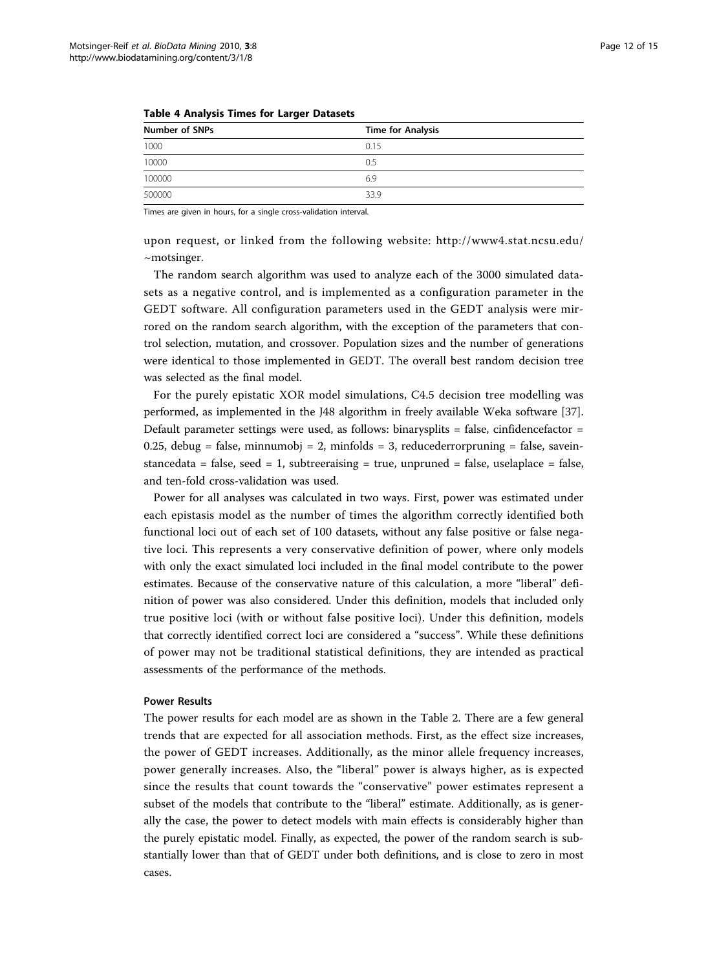| <b>Number of SNPs</b> | <b>Time for Analysis</b> |  |
|-----------------------|--------------------------|--|
| 1000                  | 0.15                     |  |
| 10000                 | 0.5                      |  |
| 100000                | 6.9                      |  |
| 500000                | 33.9                     |  |

<span id="page-11-0"></span>

| <b>Table 4 Analysis Times for Larger Datasets</b> |  |  |  |
|---------------------------------------------------|--|--|--|
|---------------------------------------------------|--|--|--|

Times are given in hours, for a single cross-validation interval.

upon request, or linked from the following website: [http://www4.stat.ncsu.edu/](http://www4.stat.ncsu.edu/~motsinger)  $~\sim$ motsinger.

The random search algorithm was used to analyze each of the 3000 simulated datasets as a negative control, and is implemented as a configuration parameter in the GEDT software. All configuration parameters used in the GEDT analysis were mirrored on the random search algorithm, with the exception of the parameters that control selection, mutation, and crossover. Population sizes and the number of generations were identical to those implemented in GEDT. The overall best random decision tree was selected as the final model.

For the purely epistatic XOR model simulations, C4.5 decision tree modelling was performed, as implemented in the J48 algorithm in freely available Weka software [[37](#page-14-0)]. Default parameter settings were used, as follows: binarysplits = false, cinfidencefactor = 0.25, debug = false, minnumobj = 2, minfolds = 3, reducederrorpruning = false, saveinstancedata = false, seed = 1, subtreeraising = true, unpruned = false, uselaplace = false, and ten-fold cross-validation was used.

Power for all analyses was calculated in two ways. First, power was estimated under each epistasis model as the number of times the algorithm correctly identified both functional loci out of each set of 100 datasets, without any false positive or false negative loci. This represents a very conservative definition of power, where only models with only the exact simulated loci included in the final model contribute to the power estimates. Because of the conservative nature of this calculation, a more "liberal" definition of power was also considered. Under this definition, models that included only true positive loci (with or without false positive loci). Under this definition, models that correctly identified correct loci are considered a "success". While these definitions of power may not be traditional statistical definitions, they are intended as practical assessments of the performance of the methods.

## Power Results

The power results for each model are as shown in the Table [2.](#page-8-0) There are a few general trends that are expected for all association methods. First, as the effect size increases, the power of GEDT increases. Additionally, as the minor allele frequency increases, power generally increases. Also, the "liberal" power is always higher, as is expected since the results that count towards the "conservative" power estimates represent a subset of the models that contribute to the "liberal" estimate. Additionally, as is generally the case, the power to detect models with main effects is considerably higher than the purely epistatic model. Finally, as expected, the power of the random search is substantially lower than that of GEDT under both definitions, and is close to zero in most cases.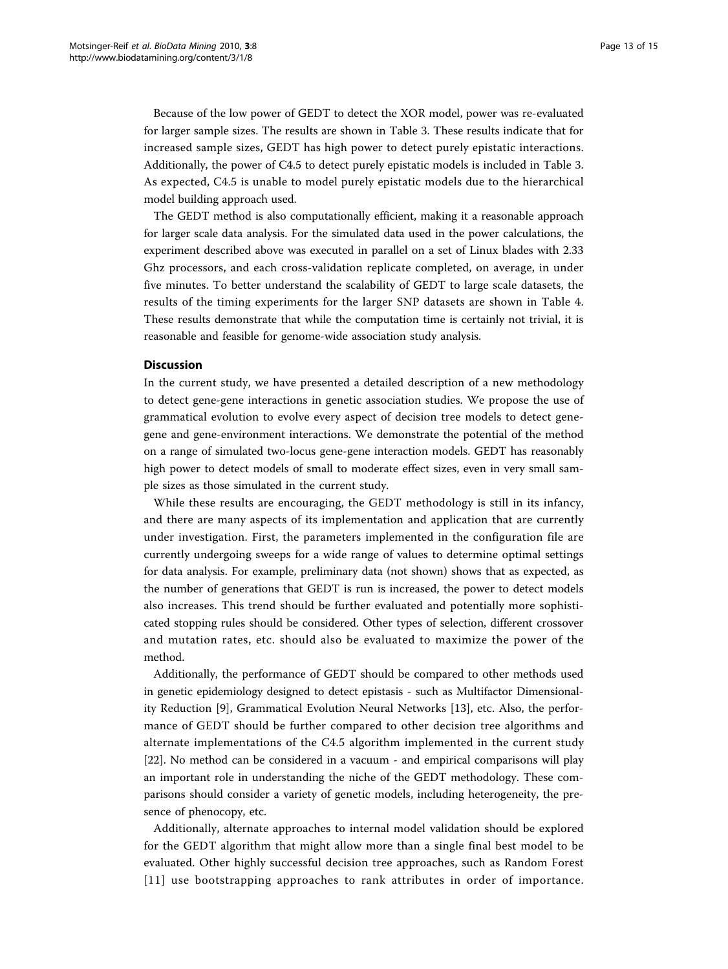Because of the low power of GEDT to detect the XOR model, power was re-evaluated for larger sample sizes. The results are shown in Table [3.](#page-10-0) These results indicate that for increased sample sizes, GEDT has high power to detect purely epistatic interactions. Additionally, the power of C4.5 to detect purely epistatic models is included in Table [3](#page-10-0). As expected, C4.5 is unable to model purely epistatic models due to the hierarchical model building approach used.

The GEDT method is also computationally efficient, making it a reasonable approach for larger scale data analysis. For the simulated data used in the power calculations, the experiment described above was executed in parallel on a set of Linux blades with 2.33 Ghz processors, and each cross-validation replicate completed, on average, in under five minutes. To better understand the scalability of GEDT to large scale datasets, the results of the timing experiments for the larger SNP datasets are shown in Table [4](#page-11-0). These results demonstrate that while the computation time is certainly not trivial, it is reasonable and feasible for genome-wide association study analysis.

## **Discussion**

In the current study, we have presented a detailed description of a new methodology to detect gene-gene interactions in genetic association studies. We propose the use of grammatical evolution to evolve every aspect of decision tree models to detect genegene and gene-environment interactions. We demonstrate the potential of the method on a range of simulated two-locus gene-gene interaction models. GEDT has reasonably high power to detect models of small to moderate effect sizes, even in very small sample sizes as those simulated in the current study.

While these results are encouraging, the GEDT methodology is still in its infancy, and there are many aspects of its implementation and application that are currently under investigation. First, the parameters implemented in the configuration file are currently undergoing sweeps for a wide range of values to determine optimal settings for data analysis. For example, preliminary data (not shown) shows that as expected, as the number of generations that GEDT is run is increased, the power to detect models also increases. This trend should be further evaluated and potentially more sophisticated stopping rules should be considered. Other types of selection, different crossover and mutation rates, etc. should also be evaluated to maximize the power of the method.

Additionally, the performance of GEDT should be compared to other methods used in genetic epidemiology designed to detect epistasis - such as Multifactor Dimensionality Reduction [[9\]](#page-13-0), Grammatical Evolution Neural Networks [[13\]](#page-13-0), etc. Also, the performance of GEDT should be further compared to other decision tree algorithms and alternate implementations of the C4.5 algorithm implemented in the current study [[22\]](#page-14-0). No method can be considered in a vacuum - and empirical comparisons will play an important role in understanding the niche of the GEDT methodology. These comparisons should consider a variety of genetic models, including heterogeneity, the presence of phenocopy, etc.

Additionally, alternate approaches to internal model validation should be explored for the GEDT algorithm that might allow more than a single final best model to be evaluated. Other highly successful decision tree approaches, such as Random Forest [[11](#page-13-0)] use bootstrapping approaches to rank attributes in order of importance.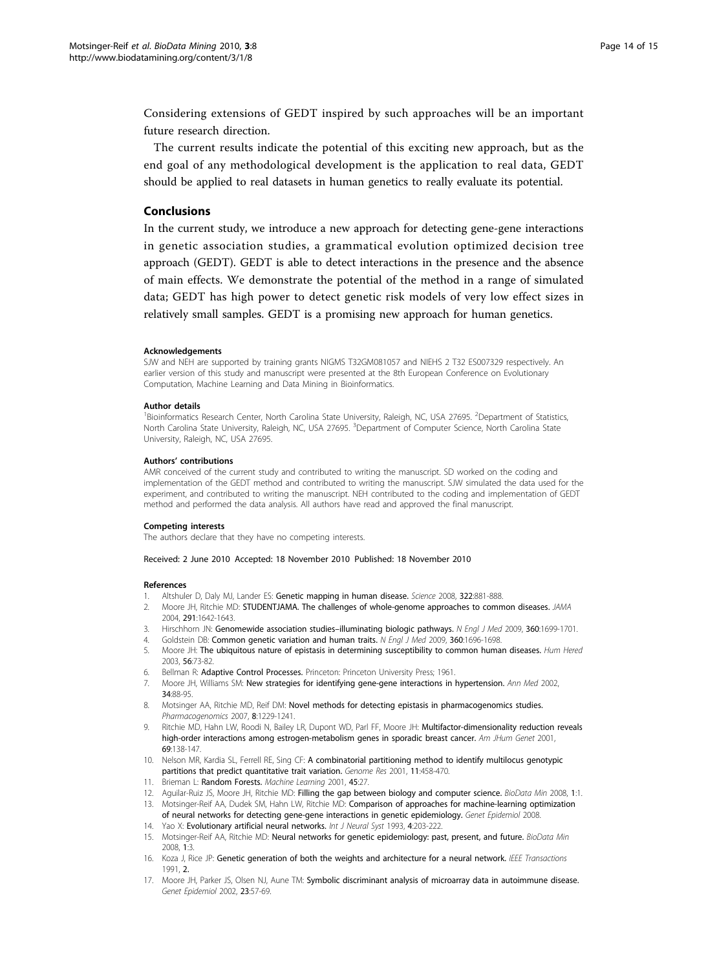<span id="page-13-0"></span>Considering extensions of GEDT inspired by such approaches will be an important future research direction.

The current results indicate the potential of this exciting new approach, but as the end goal of any methodological development is the application to real data, GEDT should be applied to real datasets in human genetics to really evaluate its potential.

## Conclusions

In the current study, we introduce a new approach for detecting gene-gene interactions in genetic association studies, a grammatical evolution optimized decision tree approach (GEDT). GEDT is able to detect interactions in the presence and the absence of main effects. We demonstrate the potential of the method in a range of simulated data; GEDT has high power to detect genetic risk models of very low effect sizes in relatively small samples. GEDT is a promising new approach for human genetics.

#### Acknowledgements

SJW and NEH are supported by training grants NIGMS T32GM081057 and NIEHS 2 T32 ES007329 respectively. An earlier version of this study and manuscript were presented at the 8th European Conference on Evolutionary Computation, Machine Learning and Data Mining in Bioinformatics.

#### Author details

<sup>1</sup>Bioinformatics Research Center, North Carolina State University, Raleigh, NC, USA 27695. <sup>2</sup>Department of Statistics, North Carolina State University, Raleigh, NC, USA 27695. <sup>3</sup>Department of Computer Science, North Carolina State University, Raleigh, NC, USA 27695.

#### Authors' contributions

AMR conceived of the current study and contributed to writing the manuscript. SD worked on the coding and implementation of the GEDT method and contributed to writing the manuscript. SJW simulated the data used for the experiment, and contributed to writing the manuscript. NEH contributed to the coding and implementation of GEDT method and performed the data analysis. All authors have read and approved the final manuscript.

#### Competing interests

The authors declare that they have no competing interests.

#### Received: 2 June 2010 Accepted: 18 November 2010 Published: 18 November 2010

#### References

- 1. Altshuler D, Daly MJ, Lander ES: Genetic mapping in human disease. Science 2008, 322:881-888.
- 2. Moore JH, Ritchie MD: STUDENTJAMA. The challenges of whole-genome approaches to common diseases. JAMA 2004, 291:1642-1643.
- 3. Hirschhorn JN: Genomewide association studies-illuminating biologic pathways. N Engl J Med 2009, 360:1699-1701.
- Goldstein DB: Common genetic variation and human traits. N Engl J Med 2009, 360:1696-1698.
- 5. Moore JH: The ubiquitous nature of epistasis in determining susceptibility to common human diseases. Hum Hered 2003, 56:73-82.
- 6. Bellman R: Adaptive Control Processes. Princeton: Princeton University Press; 1961.
- 7. Moore JH, Williams SM: New strategies for identifying gene-gene interactions in hypertension. Ann Med 2002, 34:88-95.
- 8. Motsinger AA, Ritchie MD, Reif DM: Novel methods for detecting epistasis in pharmacogenomics studies. Pharmacogenomics 2007, 8:1229-1241.
- 9. Ritchie MD, Hahn LW, Roodi N, Bailey LR, Dupont WD, Parl FF, Moore JH: Multifactor-dimensionality reduction reveals high-order interactions among estrogen-metabolism genes in sporadic breast cancer. Am JHum Genet 2001, 69:138-147.
- 10. Nelson MR, Kardia SL, Ferrell RE, Sing CF: A combinatorial partitioning method to identify multilocus genotypic partitions that predict quantitative trait variation. Genome Res 2001, 11:458-470.
- 11. Brieman L: Random Forests. Machine Learning 2001, 45:27.
- 12. Aguilar-Ruiz JS, Moore JH, Ritchie MD: Filling the gap between biology and computer science. BioData Min 2008, 1:1.
- 13. Motsinger-Reif AA, Dudek SM, Hahn LW, Ritchie MD: Comparison of approaches for machine-learning optimization of neural networks for detecting gene-gene interactions in genetic epidemiology. Genet Epidemiol 2008.
- 14. Yao X: Evolutionary artificial neural networks. Int J Neural Syst 1993, 4:203-222.
- 15. Motsinger-Reif AA, Ritchie MD: Neural networks for genetic epidemiology: past, present, and future. BioData Min 2008, 1:3.
- 16. Koza J, Rice JP: Genetic generation of both the weights and architecture for a neural network. IEEE Transactions 1991, 2.
- 17. Moore JH, Parker JS, Olsen NJ, Aune TM: Symbolic discriminant analysis of microarray data in autoimmune disease. Genet Epidemiol 2002, 23:57-69.